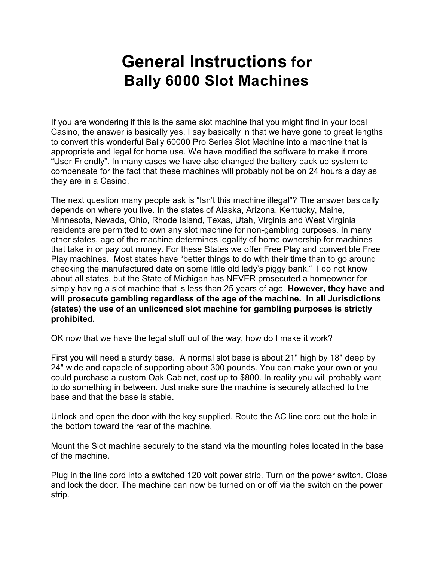# **General Instructions for Bally 6000 Slot Machines**

If you are wondering if this is the same slot machine that you might find in your local Casino, the answer is basically yes. I say basically in that we have gone to great lengths to convert this wonderful Bally 60000 Pro Series Slot Machine into a machine that is appropriate and legal for home use. We have modified the software to make it more "User Friendly". In many cases we have also changed the battery back up system to compensate for the fact that these machines will probably not be on 24 hours a day as they are in a Casino.

The next question many people ask is "Isn't this machine illegal"? The answer basically depends on where you live. In the states of Alaska, Arizona, Kentucky, Maine, Minnesota, Nevada, Ohio, Rhode Island, Texas, Utah, Virginia and West Virginia residents are permitted to own any slot machine for non-gambling purposes. In many other states, age of the machine determines legality of home ownership for machines that take in or pay out money. For these States we offer Free Play and convertible Free Play machines. Most states have "better things to do with their time than to go around checking the manufactured date on some little old lady's piggy bank." I do not know about all states, but the State of Michigan has NEVER prosecuted a homeowner for simply having a slot machine that is less than 25 years of age. **However, they have and will prosecute gambling regardless of the age of the machine. In all Jurisdictions (states) the use of an unlicenced slot machine for gambling purposes is strictly prohibited.**

OK now that we have the legal stuff out of the way, how do I make it work?

First you will need a sturdy base. A normal slot base is about 21" high by 18" deep by 24" wide and capable of supporting about 300 pounds. You can make your own or you could purchase a custom Oak Cabinet, cost up to \$800. In reality you will probably want to do something in between. Just make sure the machine is securely attached to the base and that the base is stable.

Unlock and open the door with the key supplied. Route the AC line cord out the hole in the bottom toward the rear of the machine.

Mount the Slot machine securely to the stand via the mounting holes located in the base of the machine.

Plug in the line cord into a switched 120 volt power strip. Turn on the power switch. Close and lock the door. The machine can now be turned on or off via the switch on the power strip.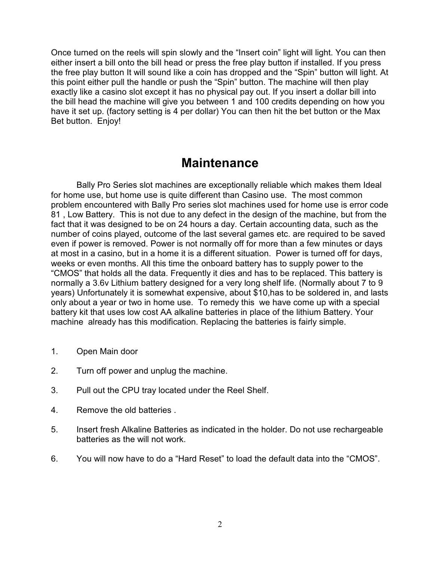Once turned on the reels will spin slowly and the "Insert coin" light will light. You can then either insert a bill onto the bill head or press the free play button if installed. If you press the free play button It will sound like a coin has dropped and the "Spin" button will light. At this point either pull the handle or push the "Spin" button. The machine will then play exactly like a casino slot except it has no physical pay out. If you insert a dollar bill into the bill head the machine will give you between 1 and 100 credits depending on how you have it set up. (factory setting is 4 per dollar) You can then hit the bet button or the Max Bet button. Enjoy!

#### **Maintenance**

Bally Pro Series slot machines are exceptionally reliable which makes them Ideal for home use, but home use is quite different than Casino use. The most common problem encountered with Bally Pro series slot machines used for home use is error code 81 , Low Battery. This is not due to any defect in the design of the machine, but from the fact that it was designed to be on 24 hours a day. Certain accounting data, such as the number of coins played, outcome of the last several games etc. are required to be saved even if power is removed. Power is not normally off for more than a few minutes or days at most in a casino, but in a home it is a different situation. Power is turned off for days, weeks or even months. All this time the onboard battery has to supply power to the "CMOS" that holds all the data. Frequently it dies and has to be replaced. This battery is normally a 3.6v Lithium battery designed for a very long shelf life. (Normally about 7 to 9 years) Unfortunately it is somewhat expensive, about \$10,has to be soldered in, and lasts only about a year or two in home use. To remedy this we have come up with a special battery kit that uses low cost AA alkaline batteries in place of the lithium Battery. Your machine already has this modification. Replacing the batteries is fairly simple.

- 1. Open Main door
- 2. Turn off power and unplug the machine.
- 3. Pull out the CPU tray located under the Reel Shelf.
- 4. Remove the old batteries .
- 5. Insert fresh Alkaline Batteries as indicated in the holder. Do not use rechargeable batteries as the will not work.
- 6. You will now have to do a "Hard Reset" to load the default data into the "CMOS".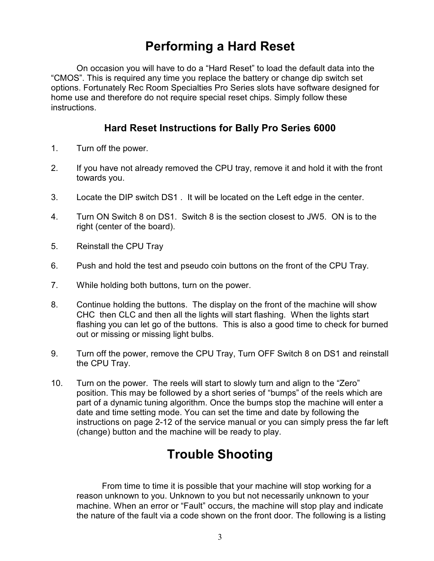## **Performing a Hard Reset**

On occasion you will have to do a "Hard Reset" to load the default data into the "CMOS". This is required any time you replace the battery or change dip switch set options. Fortunately Rec Room Specialties Pro Series slots have software designed for home use and therefore do not require special reset chips. Simply follow these instructions.

#### **Hard Reset Instructions for Bally Pro Series 6000**

- 1. Turn off the power.
- 2. If you have not already removed the CPU tray, remove it and hold it with the front towards you.
- 3. Locate the DIP switch DS1 . It will be located on the Left edge in the center.
- 4. Turn ON Switch 8 on DS1. Switch 8 is the section closest to JW5. ON is to the right (center of the board).
- 5. Reinstall the CPU Tray
- 6. Push and hold the test and pseudo coin buttons on the front of the CPU Tray.
- 7. While holding both buttons, turn on the power.
- 8. Continue holding the buttons. The display on the front of the machine will show CHC then CLC and then all the lights will start flashing. When the lights start flashing you can let go of the buttons. This is also a good time to check for burned out or missing or missing light bulbs.
- 9. Turn off the power, remove the CPU Tray, Turn OFF Switch 8 on DS1 and reinstall the CPU Tray.
- 10. Turn on the power. The reels will start to slowly turn and align to the "Zero" position. This may be followed by a short series of "bumps" of the reels which are part of a dynamic tuning algorithm. Once the bumps stop the machine will enter a date and time setting mode. You can set the time and date by following the instructions on page 2-12 of the service manual or you can simply press the far left (change) button and the machine will be ready to play.

## **Trouble Shooting**

From time to time it is possible that your machine will stop working for a reason unknown to you. Unknown to you but not necessarily unknown to your machine. When an error or "Fault" occurs, the machine will stop play and indicate the nature of the fault via a code shown on the front door. The following is a listing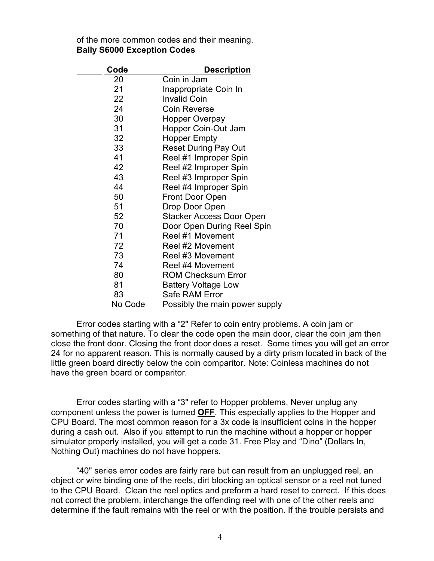|  | of the more common codes and their meaning. |  |  |  |
|--|---------------------------------------------|--|--|--|
|  | <b>Bally S6000 Exception Codes</b>          |  |  |  |

| Code    | <b>Description</b>              |  |  |  |
|---------|---------------------------------|--|--|--|
| 20      | Coin in Jam                     |  |  |  |
| 21      | Inappropriate Coin In           |  |  |  |
| 22      | <b>Invalid Coin</b>             |  |  |  |
| 24      | <b>Coin Reverse</b>             |  |  |  |
| 30      | Hopper Overpay                  |  |  |  |
| 31      | Hopper Coin-Out Jam             |  |  |  |
| 32      | <b>Hopper Empty</b>             |  |  |  |
| 33      | <b>Reset During Pay Out</b>     |  |  |  |
| 41      | Reel #1 Improper Spin           |  |  |  |
| 42      | Reel #2 Improper Spin           |  |  |  |
| 43      | Reel #3 Improper Spin           |  |  |  |
| 44      | Reel #4 Improper Spin           |  |  |  |
| 50      | <b>Front Door Open</b>          |  |  |  |
| 51      | Drop Door Open                  |  |  |  |
| 52      | <b>Stacker Access Door Open</b> |  |  |  |
| 70      | Door Open During Reel Spin      |  |  |  |
| 71      | Reel #1 Movement                |  |  |  |
| 72      | Reel #2 Movement                |  |  |  |
| 73      | Reel #3 Movement                |  |  |  |
| 74      | Reel #4 Movement                |  |  |  |
| 80      | <b>ROM Checksum Error</b>       |  |  |  |
| 81      | <b>Battery Voltage Low</b>      |  |  |  |
| 83      | Safe RAM Error                  |  |  |  |
| No Code | Possibly the main power supply  |  |  |  |

Error codes starting with a "2" Refer to coin entry problems. A coin jam or something of that nature. To clear the code open the main door, clear the coin jam then close the front door. Closing the front door does a reset. Some times you will get an error 24 for no apparent reason. This is normally caused by a dirty prism located in back of the little green board directly below the coin comparitor. Note: Coinless machines do not have the green board or comparitor.

Error codes starting with a "3" refer to Hopper problems. Never unplug any component unless the power is turned **OFF**. This especially applies to the Hopper and CPU Board. The most common reason for a 3x code is insufficient coins in the hopper during a cash out. Also if you attempt to run the machine without a hopper or hopper simulator properly installed, you will get a code 31. Free Play and "Dino" (Dollars In, Nothing Out) machines do not have hoppers.

"40" series error codes are fairly rare but can result from an unplugged reel, an object or wire binding one of the reels, dirt blocking an optical sensor or a reel not tuned to the CPU Board. Clean the reel optics and preform a hard reset to correct. If this does not correct the problem, interchange the offending reel with one of the other reels and determine if the fault remains with the reel or with the position. If the trouble persists and